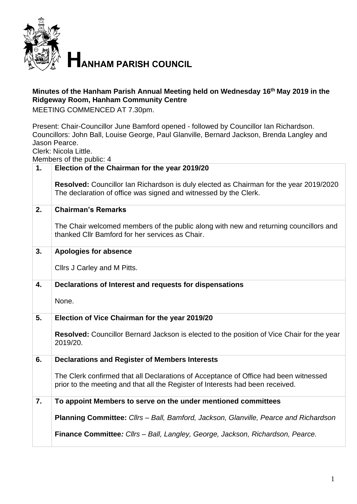

**HANHAM PARISH COUNCIL** 

## **Minutes of the Hanham Parish Annual Meeting held on Wednesday 16th May 2019 in the Ridgeway Room, Hanham Community Centre**

MEETING COMMENCED AT 7.30pm.

Present: Chair-Councillor June Bamford opened - followed by Councillor Ian Richardson. Councillors: John Ball, Louise George, Paul Glanville, Bernard Jackson, Brenda Langley and Jason Pearce.

Clerk: Nicola Little.

Members of the public: 4

| 1. | Election of the Chairman for the year 2019/20                                                                                                                          |
|----|------------------------------------------------------------------------------------------------------------------------------------------------------------------------|
|    | Resolved: Councillor Ian Richardson is duly elected as Chairman for the year 2019/2020<br>The declaration of office was signed and witnessed by the Clerk.             |
| 2. | <b>Chairman's Remarks</b>                                                                                                                                              |
|    | The Chair welcomed members of the public along with new and returning councillors and<br>thanked Cllr Bamford for her services as Chair.                               |
| 3. | <b>Apologies for absence</b>                                                                                                                                           |
|    | Cllrs J Carley and M Pitts.                                                                                                                                            |
| 4. | Declarations of Interest and requests for dispensations                                                                                                                |
|    | None.                                                                                                                                                                  |
| 5. | Election of Vice Chairman for the year 2019/20                                                                                                                         |
|    | <b>Resolved:</b> Councillor Bernard Jackson is elected to the position of Vice Chair for the year<br>2019/20.                                                          |
| 6. | <b>Declarations and Register of Members Interests</b>                                                                                                                  |
|    | The Clerk confirmed that all Declarations of Acceptance of Office had been witnessed<br>prior to the meeting and that all the Register of Interests had been received. |
| 7. | To appoint Members to serve on the under mentioned committees                                                                                                          |
|    | <b>Planning Committee:</b> Cllrs – Ball, Bamford, Jackson, Glanville, Pearce and Richardson                                                                            |
|    | Finance Committee: Cllrs - Ball, Langley, George, Jackson, Richardson, Pearce.                                                                                         |
|    |                                                                                                                                                                        |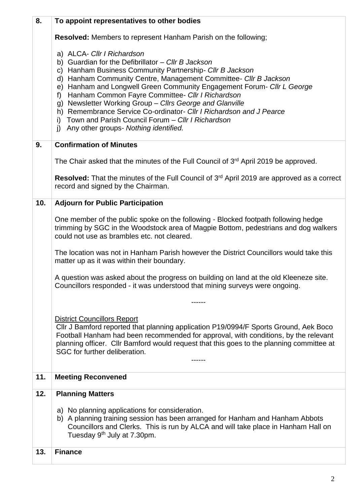| 8.  | To appoint representatives to other bodies                                                                                                                                                                                                                                                                                                                                                                                                                                                                                                                                                                       |
|-----|------------------------------------------------------------------------------------------------------------------------------------------------------------------------------------------------------------------------------------------------------------------------------------------------------------------------------------------------------------------------------------------------------------------------------------------------------------------------------------------------------------------------------------------------------------------------------------------------------------------|
|     | <b>Resolved:</b> Members to represent Hanham Parish on the following;                                                                                                                                                                                                                                                                                                                                                                                                                                                                                                                                            |
|     | a) ALCA- Cllr I Richardson<br>b) Guardian for the Defibrillator $-$ Cllr B Jackson<br>Hanham Business Community Partnership- Cllr B Jackson<br>C)<br>d) Hanham Community Centre, Management Committee- Cllr B Jackson<br>e) Hanham and Longwell Green Community Engagement Forum- Cllr L George<br>Hanham Common Fayre Committee- Cllr I Richardson<br>f)<br>g) Newsletter Working Group - Cllrs George and Glanville<br>h) Remembrance Service Co-ordinator- Cllr I Richardson and J Pearce<br>Town and Parish Council Forum - Cllr I Richardson<br>i)<br>$\mathbf{j}$<br>Any other groups- Nothing identified. |
| 9.  | <b>Confirmation of Minutes</b>                                                                                                                                                                                                                                                                                                                                                                                                                                                                                                                                                                                   |
|     | The Chair asked that the minutes of the Full Council of 3 <sup>rd</sup> April 2019 be approved.                                                                                                                                                                                                                                                                                                                                                                                                                                                                                                                  |
|     | Resolved: That the minutes of the Full Council of 3rd April 2019 are approved as a correct<br>record and signed by the Chairman.                                                                                                                                                                                                                                                                                                                                                                                                                                                                                 |
| 10. | <b>Adjourn for Public Participation</b>                                                                                                                                                                                                                                                                                                                                                                                                                                                                                                                                                                          |
|     | One member of the public spoke on the following - Blocked footpath following hedge<br>trimming by SGC in the Woodstock area of Magpie Bottom, pedestrians and dog walkers<br>could not use as brambles etc. not cleared.                                                                                                                                                                                                                                                                                                                                                                                         |
|     | The location was not in Hanham Parish however the District Councillors would take this<br>matter up as it was within their boundary.                                                                                                                                                                                                                                                                                                                                                                                                                                                                             |
|     | A question was asked about the progress on building on land at the old Kleeneze site.<br>Councillors responded - it was understood that mining surveys were ongoing.                                                                                                                                                                                                                                                                                                                                                                                                                                             |
|     |                                                                                                                                                                                                                                                                                                                                                                                                                                                                                                                                                                                                                  |
|     | <b>District Councillors Report</b><br>CIIr J Bamford reported that planning application P19/0994/F Sports Ground, Aek Boco<br>Football Hanham had been recommended for approval, with conditions, by the relevant<br>planning officer. Cllr Bamford would request that this goes to the planning committee at<br>SGC for further deliberation.                                                                                                                                                                                                                                                                   |
| 11. | <b>Meeting Reconvened</b>                                                                                                                                                                                                                                                                                                                                                                                                                                                                                                                                                                                        |
| 12. | <b>Planning Matters</b>                                                                                                                                                                                                                                                                                                                                                                                                                                                                                                                                                                                          |
|     | a) No planning applications for consideration.<br>b) A planning training session has been arranged for Hanham and Hanham Abbots<br>Councillors and Clerks. This is run by ALCA and will take place in Hanham Hall on<br>Tuesday 9 <sup>th</sup> July at 7.30pm.                                                                                                                                                                                                                                                                                                                                                  |
| 13. | <b>Finance</b>                                                                                                                                                                                                                                                                                                                                                                                                                                                                                                                                                                                                   |
|     |                                                                                                                                                                                                                                                                                                                                                                                                                                                                                                                                                                                                                  |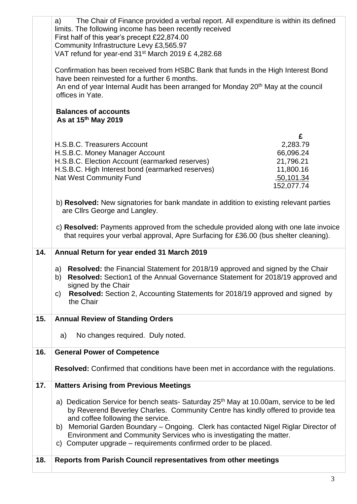|     | The Chair of Finance provided a verbal report. All expenditure is within its defined<br>a)<br>limits. The following income has been recently received<br>First half of this year's precept £22,874.00<br>Community Infrastructure Levy £3,565.97                                                                                                                                                                                                                 |                                                                                  |
|-----|------------------------------------------------------------------------------------------------------------------------------------------------------------------------------------------------------------------------------------------------------------------------------------------------------------------------------------------------------------------------------------------------------------------------------------------------------------------|----------------------------------------------------------------------------------|
|     | VAT refund for year-end $31st$ March 2019 £ 4,282.68<br>Confirmation has been received from HSBC Bank that funds in the High Interest Bond<br>have been reinvested for a further 6 months.<br>An end of year Internal Audit has been arranged for Monday 20 <sup>th</sup> May at the council<br>offices in Yate.                                                                                                                                                 |                                                                                  |
|     | <b>Balances of accounts</b><br>As at 15 <sup>th</sup> May 2019                                                                                                                                                                                                                                                                                                                                                                                                   |                                                                                  |
|     | H.S.B.C. Treasurers Account<br>H.S.B.C. Money Manager Account<br>H.S.B.C. Election Account (earmarked reserves)<br>H.S.B.C. High Interest bond (earmarked reserves)<br><b>Nat West Community Fund</b>                                                                                                                                                                                                                                                            | £<br>2,283.79<br>66,096.24<br>21,796.21<br>11,800.16<br>,50,101.34<br>152,077.74 |
|     | b) Resolved: New signatories for bank mandate in addition to existing relevant parties<br>are Cllrs George and Langley.                                                                                                                                                                                                                                                                                                                                          |                                                                                  |
|     | c) Resolved: Payments approved from the schedule provided along with one late invoice<br>that requires your verbal approval, Apre Surfacing for £36.00 (bus shelter cleaning).                                                                                                                                                                                                                                                                                   |                                                                                  |
|     |                                                                                                                                                                                                                                                                                                                                                                                                                                                                  |                                                                                  |
| 14. | Annual Return for year ended 31 March 2019                                                                                                                                                                                                                                                                                                                                                                                                                       |                                                                                  |
|     | Resolved: the Financial Statement for 2018/19 approved and signed by the Chair<br>a)<br>Resolved: Section1 of the Annual Governance Statement for 2018/19 approved and<br>b)<br>signed by the Chair<br><b>Resolved:</b> Section 2, Accounting Statements for 2018/19 approved and signed by<br>C)<br>the Chair                                                                                                                                                   |                                                                                  |
| 15. | <b>Annual Review of Standing Orders</b>                                                                                                                                                                                                                                                                                                                                                                                                                          |                                                                                  |
|     | No changes required. Duly noted.<br>a)                                                                                                                                                                                                                                                                                                                                                                                                                           |                                                                                  |
| 16. | <b>General Power of Competence</b>                                                                                                                                                                                                                                                                                                                                                                                                                               |                                                                                  |
|     | <b>Resolved:</b> Confirmed that conditions have been met in accordance with the regulations.                                                                                                                                                                                                                                                                                                                                                                     |                                                                                  |
| 17. | <b>Matters Arising from Previous Meetings</b>                                                                                                                                                                                                                                                                                                                                                                                                                    |                                                                                  |
|     | a) Dedication Service for bench seats- Saturday 25 <sup>th</sup> May at 10.00am, service to be led<br>by Reverend Beverley Charles. Community Centre has kindly offered to provide tea<br>and coffee following the service.<br>Memorial Garden Boundary – Ongoing. Clerk has contacted Nigel Riglar Director of<br>b)<br>Environment and Community Services who is investigating the matter.<br>c) Computer upgrade – requirements confirmed order to be placed. |                                                                                  |